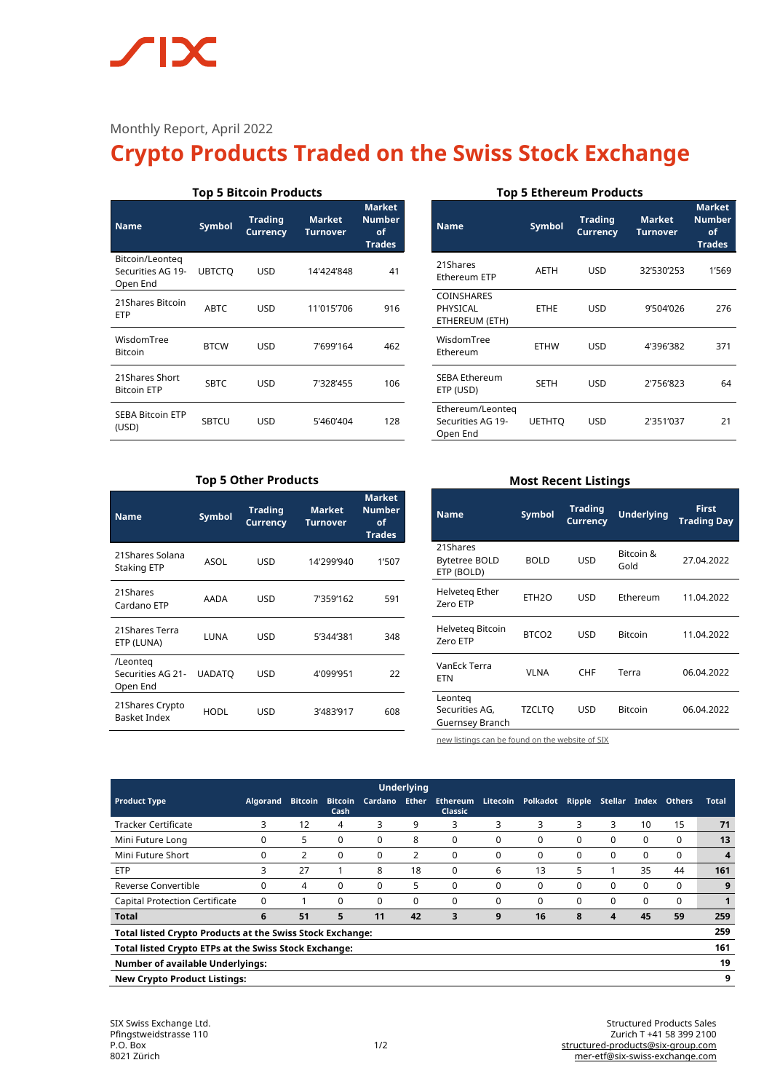## $\sqrt{\phantom{a}}$ **IX**

### Monthly Report, April 2022

# **Crypto Products Traded on the Swiss Stock Exchange**

| <b>Top 5 Bitcoin Products</b>                    |                                                                                        |     |            |     |  |  |  |
|--------------------------------------------------|----------------------------------------------------------------------------------------|-----|------------|-----|--|--|--|
| <b>Name</b>                                      | <b>Trading</b><br><b>Market</b><br><b>Symbol</b><br><b>Currency</b><br><b>Turnover</b> |     |            |     |  |  |  |
| Bitcoin/Leonteg<br>Securities AG 19-<br>Open End | <b>UBTCTO</b>                                                                          | USD | 14'424'848 | 41  |  |  |  |
| 21Shares Bitcoin<br>ETP                          | <b>ABTC</b>                                                                            | USD | 11'015'706 | 916 |  |  |  |
| WisdomTree<br><b>Bitcoin</b>                     | <b>BTCW</b>                                                                            | USD | 7'699'164  | 462 |  |  |  |
| 21Shares Short<br><b>Bitcoin ETP</b>             | <b>SBTC</b>                                                                            | USD | 7'328'455  | 106 |  |  |  |
| <b>SEBA Bitcoin ETP</b><br>(USD)                 | SBTCU                                                                                  | USD | 5'460'404  | 128 |  |  |  |

#### **Top 5 Ethereum Products**

| <b>Name</b>                                       | Symbol        | <b>Trading</b><br><b>Currency</b> | <b>Market</b><br><b>Turnover</b> | <b>Market</b><br><b>Number</b><br>of<br><b>Trades</b> |
|---------------------------------------------------|---------------|-----------------------------------|----------------------------------|-------------------------------------------------------|
| 21Shares<br>Ethereum ETP                          | <b>AETH</b>   | <b>USD</b>                        | 32'530'253                       | 1'569                                                 |
| <b>COINSHARES</b><br>PHYSICAL<br>ETHEREUM (ETH)   | <b>ETHE</b>   | <b>USD</b>                        | 9'504'026                        | 276                                                   |
| WisdomTree<br>Ethereum                            | <b>ETHW</b>   | USD                               | 4'396'382                        | 371                                                   |
| <b>SEBA Ethereum</b><br>ETP (USD)                 | <b>SETH</b>   | USD                               | 2'756'823                        | 64                                                    |
| Ethereum/Leonteg<br>Securities AG 19-<br>Open End | <b>UETHTO</b> | USD                               | 2'351'037                        | 21                                                    |

#### **Top 5 Other Products**

| <b>Name</b>                               | <b>Symbol</b> | <b>Trading</b><br><b>Currency</b> | <b>Market</b><br>Turnover | <b>Market</b><br><b>Number</b><br>of<br><b>Trades</b> |
|-------------------------------------------|---------------|-----------------------------------|---------------------------|-------------------------------------------------------|
| 21Shares Solana<br><b>Staking ETP</b>     | ASOL          | USD                               | 14'299'940                | 1'507                                                 |
| 21Shares<br>Cardano ETP                   | AADA          | USD                               | 7'359'162                 | 591                                                   |
| 21Shares Terra<br>ETP (LUNA)              | LUNA          | USD                               | 5'344'381                 | 348                                                   |
| /Leonteg<br>Securities AG 21-<br>Open End | <b>UADATO</b> | USD                               | 4'099'951                 | 22                                                    |
| 21 Shares Crypto<br><b>Basket Index</b>   | HODL          | USD                               | 3'483'917                 | 608                                                   |

#### **Most Recent Listings**

| <b>Name</b>                                  | Symbol            | <b>Trading</b><br><b>Currency</b> | <b>Underlying</b> | <b>First</b><br><b>Trading Day</b> |  |
|----------------------------------------------|-------------------|-----------------------------------|-------------------|------------------------------------|--|
| 21Shares<br>Bytetree BOLD<br>ETP (BOLD)      | <b>BOLD</b>       | USD                               | Bitcoin &<br>Gold | 27.04.2022                         |  |
| Helveteg Ether<br>Zero ETP                   | FTH <sub>20</sub> | USD                               | Ethereum          | 11.04.2022                         |  |
| Helveteg Bitcoin<br>Zero ETP                 | BTCO <sub>2</sub> | USD                               | <b>Bitcoin</b>    | 11.04.2022                         |  |
| VanEck Terra<br><b>ETN</b>                   | <b>VLNA</b>       | <b>CHF</b>                        | Terra             | 06.04.2022                         |  |
| Leonteg<br>Securities AG,<br>Guernsey Branch | <b>TZCLTO</b>     | USD                               | <b>Bitcoin</b>    | 06.04.2022                         |  |

[new listings can be found on the website of SIX](https://www.six-structured-products.com/de/suche/Krypto%20Produkte)

| <b>Underlying</b>                                                       |                 |                |                        |          |              |                                   |                 |          |          |         |          |               |              |
|-------------------------------------------------------------------------|-----------------|----------------|------------------------|----------|--------------|-----------------------------------|-----------------|----------|----------|---------|----------|---------------|--------------|
| <b>Product Type</b>                                                     | <b>Algorand</b> | <b>Bitcoin</b> | <b>Bitcoin</b><br>Cash | Cardano  | <b>Ether</b> | <b>Ethereum</b><br><b>Classic</b> | <b>Litecoin</b> | Polkadot | Ripple   | Stellar | Index    | <b>Others</b> | <b>Total</b> |
| <b>Tracker Certificate</b>                                              | 3               | 12             | 4                      | 3        | 9            | 3                                 | 3               | 3        | 3        | 3       | 10       | 15            | 71           |
| Mini Future Long                                                        | 0               | 5              | $\Omega$               | 0        | 8            | $\Omega$                          | 0               | $\Omega$ | 0        | 0       | $\Omega$ | $\Omega$      | 13           |
| Mini Future Short                                                       | 0               | 2              | $\Omega$               | 0        | 2            | $\Omega$                          | $\Omega$        | 0        | 0        | 0       | $\Omega$ | $\Omega$      | 4            |
| <b>ETP</b>                                                              | 3               | 27             |                        | 8        | 18           | 0                                 | 6               | 13       | 5        |         | 35       | 44            | 161          |
| Reverse Convertible                                                     | $\Omega$        | 4              | $\Omega$               | 0        | 5            | $\Omega$                          | $\Omega$        | $\Omega$ | 0        | 0       | $\Omega$ | 0             | 9            |
| <b>Capital Protection Certificate</b>                                   | 0               |                | $\Omega$               | $\Omega$ | 0            | $\Omega$                          | $\Omega$        | 0        | $\Omega$ | 0       | $\Omega$ | $\Omega$      |              |
| <b>Total</b>                                                            | 6               | 51             | 5                      | 11       | 42           | 3                                 | 9               | 16       | 8        | 4       | 45       | 59            | 259          |
| 259<br><b>Total listed Crypto Products at the Swiss Stock Exchange:</b> |                 |                |                        |          |              |                                   |                 |          |          |         |          |               |              |
| 161<br>Total listed Crypto ETPs at the Swiss Stock Exchange:            |                 |                |                        |          |              |                                   |                 |          |          |         |          |               |              |
| 19<br><b>Number of available Underlyings:</b>                           |                 |                |                        |          |              |                                   |                 |          |          |         |          |               |              |
| 9<br><b>New Crypto Product Listings:</b>                                |                 |                |                        |          |              |                                   |                 |          |          |         |          |               |              |